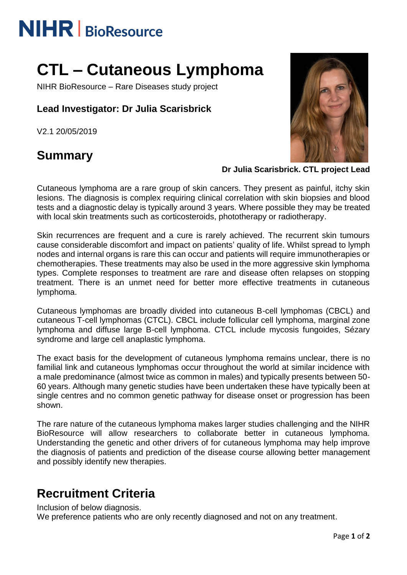# **NIHR** | BioResource

## **CTL – Cutaneous Lymphoma**

NIHR BioResource – Rare Diseases study project

## **Lead Investigator: Dr Julia Scarisbrick**

V2.1 20/05/2019

## **Summary**



#### **Dr Julia Scarisbrick. CTL project Lead**

Cutaneous lymphoma are a rare group of skin cancers. They present as painful, itchy skin lesions. The diagnosis is complex requiring clinical correlation with skin biopsies and blood tests and a diagnostic delay is typically around 3 years. Where possible they may be treated with local skin treatments such as corticosteroids, phototherapy or radiotherapy.

Skin recurrences are frequent and a cure is rarely achieved. The recurrent skin tumours cause considerable discomfort and impact on patients' quality of life. Whilst spread to lymph nodes and internal organs is rare this can occur and patients will require immunotherapies or chemotherapies. These treatments may also be used in the more aggressive skin lymphoma types. Complete responses to treatment are rare and disease often relapses on stopping treatment. There is an unmet need for better more effective treatments in cutaneous lymphoma.

Cutaneous lymphomas are broadly divided into cutaneous B-cell lymphomas (CBCL) and cutaneous T-cell lymphomas (CTCL). CBCL include follicular cell lymphoma, marginal zone lymphoma and diffuse large B-cell lymphoma. CTCL include mycosis fungoides, Sézary syndrome and large cell anaplastic lymphoma.

The exact basis for the development of cutaneous lymphoma remains unclear, there is no familial link and cutaneous lymphomas occur throughout the world at similar incidence with a male predominance (almost twice as common in males) and typically presents between 50- 60 years. Although many genetic studies have been undertaken these have typically been at single centres and no common genetic pathway for disease onset or progression has been shown.

The rare nature of the cutaneous lymphoma makes larger studies challenging and the NIHR BioResource will allow researchers to collaborate better in cutaneous lymphoma. Understanding the genetic and other drivers of for cutaneous lymphoma may help improve the diagnosis of patients and prediction of the disease course allowing better management and possibly identify new therapies.

## **Recruitment Criteria**

Inclusion of below diagnosis.

We preference patients who are only recently diagnosed and not on any treatment.